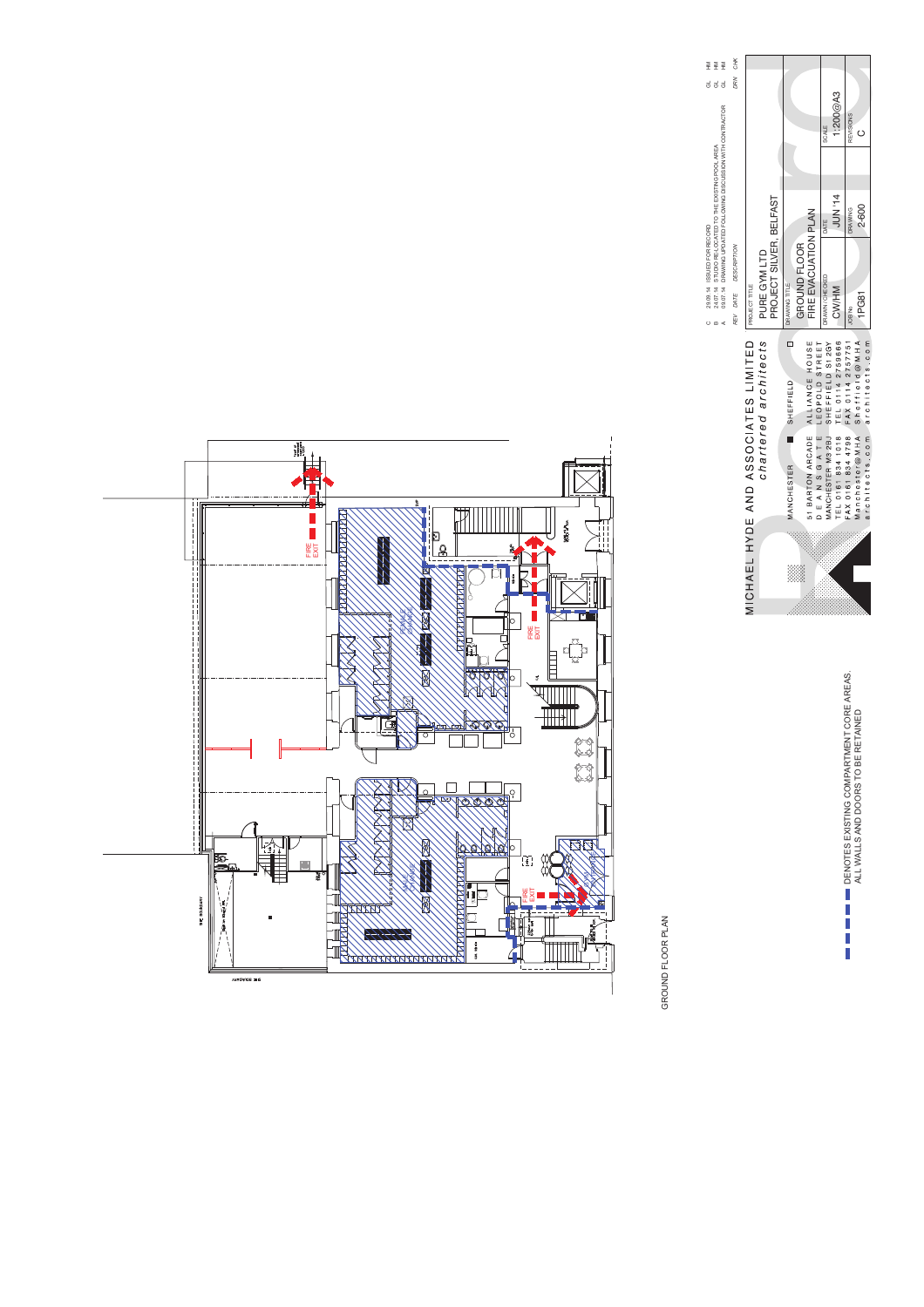| ಠ                                                             | DRN CHK              |                                                             |                         |                   |              |                                     |                                    |                                    |                   |                |                               |
|---------------------------------------------------------------|----------------------|-------------------------------------------------------------|-------------------------|-------------------|--------------|-------------------------------------|------------------------------------|------------------------------------|-------------------|----------------|-------------------------------|
| 09.07.14 DRAWING UPDATED FOLLOWING DISCUSSION WITH CONTRACTOR |                      |                                                             |                         |                   |              |                                     | SCALE                              | 1:200 $@A3$                        | <b>REVISIONS</b>  |                |                               |
| STUDIO RE-LOCATED TO THE EXISTING POOL AREA                   |                      |                                                             |                         |                   |              |                                     | DATE                               | <b>PLINNI4</b>                     | <b>DRAWING</b>    | 2-600          |                               |
| 29.09.14 ISSUED FOR RECORD<br>24.07.14                        | REV DATE DESCRIPTION | PURE GYM LTD<br>PROJECT TITLE                               | PROJECT SILVER, BELFAST | DRAWING TITLE     | GROUND FLOOR | FIRE EVACUATION PLAN                | DRAWN / CHECKED                    | CW/HM                              | JOB No            | IPG81          |                               |
|                                                               |                      | MICHAEL HYDE AND ASSOCIATES LIMITED<br>chartered architects |                         | SHEFFIELD         |              | ALLIANCE HOUSE<br>LEOPOLD STREET    | MANCHESTER M3 2BJ SHEFFIELD S1 2GY | TEL 0161 834 1018 TEL 0114 2759666 | FAX 0114 2757751  | Sheffield@MHA  | architects.com architects.com |
|                                                               |                      |                                                             |                         | <b>MANCHESTER</b> |              | E A N S G A T E<br>51 BARTON ARCADE |                                    |                                    | FAX 0161 834 4798 | Manchester@MHA |                               |
|                                                               |                      |                                                             |                         |                   |              |                                     |                                    |                                    |                   |                |                               |

 $\begin{tabular}{ll} \hline \hline \multicolumn{3}{l}{\multicolumn{2}{l}{\multicolumn{2}{l}{\multicolumn{2}{l}{\multicolumn{2}{l}{\multicolumn{2}{l}{\multicolumn{2}{l}{\multicolumn{2}{l}{\multicolumn{2}{l}{\multicolumn{2}{l}{\multicolumn{2}{l}{\multicolumn{2}{l}{\multicolumn{2}{l}{\multicolumn{2}{l}{\multicolumn{2}{l}{\multicolumn{2}{l}{\multicolumn{2}{l}{\multicolumn{2}{l}{\multicolumn{2}{l}{\multicolumn{2}{l}{\multicolumn{2}{l}{\multicolumn{2}{l}{\multicolumn{2}{l$ DENOTES EXISTING COMPARTMENT CORE AREAS. ALL WALLS AND DOORS TO BE RETAINED

GROUND FLOOR PLAN GROUND FLOOR PLAN

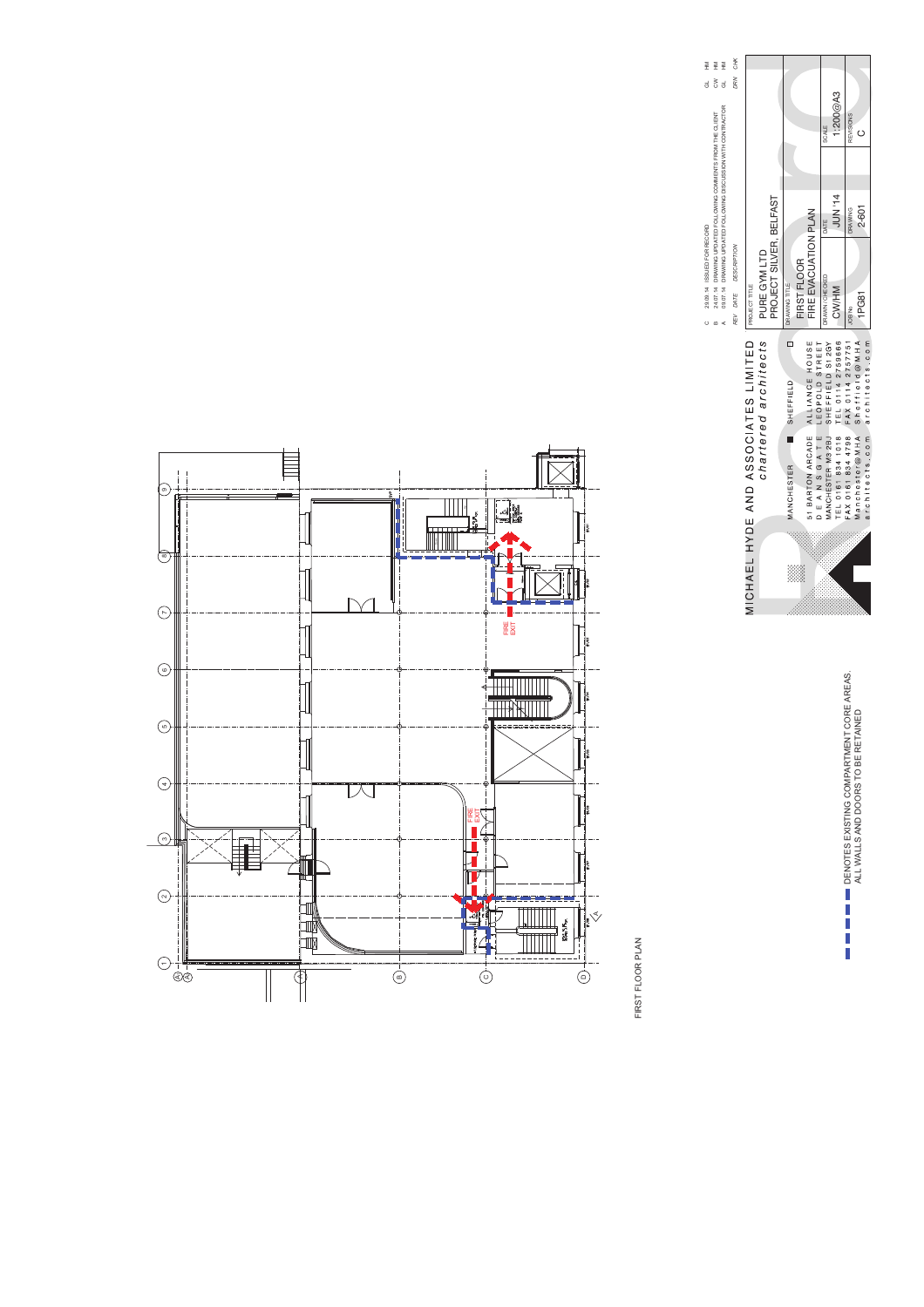| CHK                            |                                     |                                         |                                                                 |                                                                                                                                                                                                                |  |  |  |  |
|--------------------------------|-------------------------------------|-----------------------------------------|-----------------------------------------------------------------|----------------------------------------------------------------------------------------------------------------------------------------------------------------------------------------------------------------|--|--|--|--|
| DRN                            |                                     |                                         |                                                                 | 1:200 $@A3$<br><b>REVISIONS</b><br>SCALE                                                                                                                                                                       |  |  |  |  |
|                                |                                     |                                         |                                                                 | <b>PLINN-14</b><br>2-601<br><b>DRAWING</b><br>DATE                                                                                                                                                             |  |  |  |  |
| <b>DESCRIPTION</b><br>REV DATE | <b>PROJECT TITLE</b>                | PROJECT SILVER, BELFAST<br>PURE GYM LTD | FIRE EVACUATION PLAN<br>FIRST FLOOR<br>DRAWING TITLE            | DRAWN / CHECKED<br>CW/HM<br>1PG81<br>JOB <sub>No</sub>                                                                                                                                                         |  |  |  |  |
|                                | MICHAEL HYDE AND ASSOCIATES LIMITED | chartered architects                    | ó<br>51 BARTON ARCADE ALLIANCE HOUSE<br>SHEFFIELD<br>MANCHESTER | TEL 0161 834 1018 TEL 0114 2759666<br>FAX 0161 834 4798 FAX 0114 2757751<br>architects.com architects.com<br>Sheffield@MHA<br>MANCHESTER M3 2BJ SHEFFIELD S1 2GY<br>DEANSGATE LEOPOLD STREET<br>Manchester@MHA |  |  |  |  |
|                                |                                     |                                         |                                                                 |                                                                                                                                                                                                                |  |  |  |  |

C 29.09.14 ISSUED FOR RECORD

 $0 \neq 0$ 

B 24.07.14 DRAWING UPDATED FOLLOWING COMMENTS FROM THE CLIENT CW HM A 09.07.14 DRAWING UPDATED FOLLOWING DISCUSSION WITH CONTRACTOR GL HM

28.08.14 ISSUED FOR RECORD<br>24.07.14 DRAWING UPDATED FOLLOWING COMMENTS FROM THE CLIENT<br>08.07.14 DRAWING UPDATED FOLLOWING DISCUSSION WITH CONTRACTOR

 $\begin{aligned} \Xi \quad \Xi \quad \Xi \\ \Xi \quad \Xi \quad \Xi \\ \Xi \quad \Xi \quad \Xi \end{aligned}$ 

 $\begin{tabular}{ll} \hline \hline \multicolumn{3}{l}{\multicolumn{2}{l}{\multicolumn{2}{l}{\multicolumn{2}{l}{\multicolumn{2}{l}{\multicolumn{2}{l}{\multicolumn{2}{l}{\multicolumn{2}{l}{\multicolumn{2}{l}{\multicolumn{2}{l}{\multicolumn{2}{l}{\multicolumn{2}{l}{\multicolumn{2}{l}{\multicolumn{2}{l}{\multicolumn{2}{l}{\multicolumn{2}{l}{\multicolumn{2}{l}{\multicolumn{2}{l}{\multicolumn{2}{l}{\multicolumn{2}{l}{\multicolumn{2}{l}{\multicolumn{2}{l}{\multicolumn{2}{l$ DENOTES EXISTING COMPARTMENT CORE AREAS. ALL WALLS AND DOORS TO BE RETAINED



FIRST FLOOR PLAN FIRST FLOOR PLAN